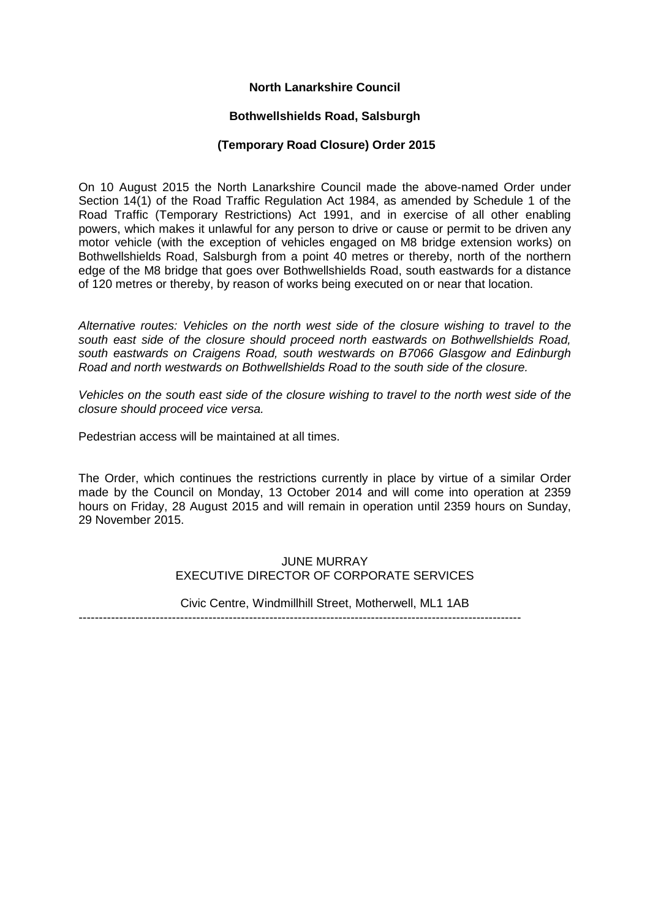# **North Lanarkshire Council**

#### **Bothwellshields Road, Salsburgh**

#### **(Temporary Road Closure) Order 2015**

On 10 August 2015 the North Lanarkshire Council made the above-named Order under Section 14(1) of the Road Traffic Regulation Act 1984, as amended by Schedule 1 of the Road Traffic (Temporary Restrictions) Act 1991, and in exercise of all other enabling powers, which makes it unlawful for any person to drive or cause or permit to be driven any motor vehicle (with the exception of vehicles engaged on M8 bridge extension works) on Bothwellshields Road, Salsburgh from a point 40 metres or thereby, north of the northern edge of the M8 bridge that goes over Bothwellshields Road, south eastwards for a distance of 120 metres or thereby, by reason of works being executed on or near that location.

*Alternative routes: Vehicles on the north west side of the closure wishing to travel to the south east side of the closure should proceed north eastwards on Bothwellshields Road, south eastwards on Craigens Road, south westwards on B7066 Glasgow and Edinburgh Road and north westwards on Bothwellshields Road to the south side of the closure.* 

*Vehicles on the south east side of the closure wishing to travel to the north west side of the closure should proceed vice versa.*

Pedestrian access will be maintained at all times.

The Order, which continues the restrictions currently in place by virtue of a similar Order made by the Council on Monday, 13 October 2014 and will come into operation at 2359 hours on Friday, 28 August 2015 and will remain in operation until 2359 hours on Sunday, 29 November 2015.

# JUNE MURRAY EXECUTIVE DIRECTOR OF CORPORATE SERVICES

Civic Centre, Windmillhill Street, Motherwell, ML1 1AB -------------------------------------------------------------------------------------------------------------